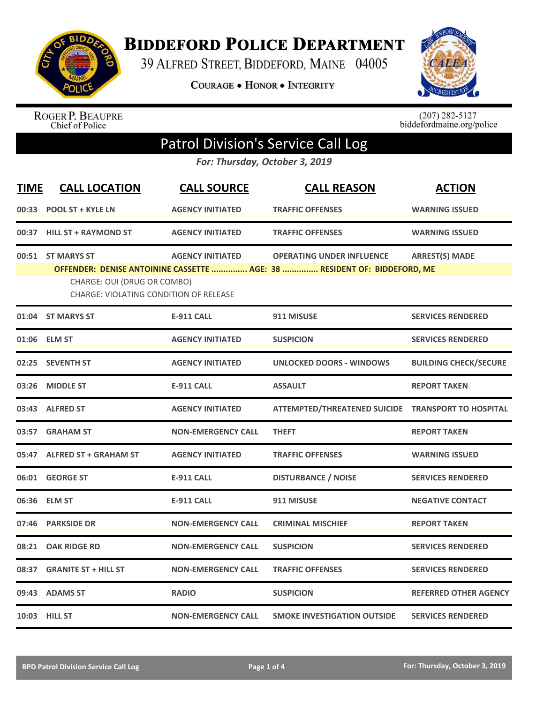

**BIDDEFORD POLICE DEPARTMENT** 

39 ALFRED STREET, BIDDEFORD, MAINE 04005

COURAGE . HONOR . INTEGRITY



ROGER P. BEAUPRE<br>Chief of Police

 $(207)$  282-5127<br>biddefordmaine.org/police

## Patrol Division's Service Call Log

*For: Thursday, October 3, 2019*

| <b>TIME</b> | <b>CALL LOCATION</b>                                                                       | <b>CALL SOURCE</b>        | <b>CALL REASON</b>                                                                                           | <b>ACTION</b>                |
|-------------|--------------------------------------------------------------------------------------------|---------------------------|--------------------------------------------------------------------------------------------------------------|------------------------------|
|             | 00:33 POOL ST + KYLE LN                                                                    | <b>AGENCY INITIATED</b>   | <b>TRAFFIC OFFENSES</b>                                                                                      | <b>WARNING ISSUED</b>        |
|             | 00:37 HILL ST + RAYMOND ST                                                                 | <b>AGENCY INITIATED</b>   | <b>TRAFFIC OFFENSES</b>                                                                                      | <b>WARNING ISSUED</b>        |
|             | 00:51 ST MARYS ST<br>CHARGE: OUI (DRUG OR COMBO)<br>CHARGE: VIOLATING CONDITION OF RELEASE | <b>AGENCY INITIATED</b>   | <b>OPERATING UNDER INFLUENCE</b><br>OFFENDER: DENISE ANTOININE CASSETTE  AGE: 38  RESIDENT OF: BIDDEFORD, ME | <b>ARREST(S) MADE</b>        |
|             | 01:04 ST MARYS ST                                                                          | E-911 CALL                | 911 MISUSE                                                                                                   | <b>SERVICES RENDERED</b>     |
|             | 01:06 ELM ST                                                                               | <b>AGENCY INITIATED</b>   | <b>SUSPICION</b>                                                                                             | <b>SERVICES RENDERED</b>     |
|             | 02:25 SEVENTH ST                                                                           | <b>AGENCY INITIATED</b>   | <b>UNLOCKED DOORS - WINDOWS</b>                                                                              | <b>BUILDING CHECK/SECURE</b> |
| 03:26       | <b>MIDDLE ST</b>                                                                           | <b>E-911 CALL</b>         | <b>ASSAULT</b>                                                                                               | <b>REPORT TAKEN</b>          |
|             | 03:43 ALFRED ST                                                                            | <b>AGENCY INITIATED</b>   | ATTEMPTED/THREATENED SUICIDE TRANSPORT TO HOSPITAL                                                           |                              |
| 03:57       | <b>GRAHAM ST</b>                                                                           | <b>NON-EMERGENCY CALL</b> | <b>THEFT</b>                                                                                                 | <b>REPORT TAKEN</b>          |
|             | 05:47 ALFRED ST + GRAHAM ST                                                                | <b>AGENCY INITIATED</b>   | <b>TRAFFIC OFFENSES</b>                                                                                      | <b>WARNING ISSUED</b>        |
|             | 06:01 GEORGE ST                                                                            | <b>E-911 CALL</b>         | <b>DISTURBANCE / NOISE</b>                                                                                   | <b>SERVICES RENDERED</b>     |
|             | 06:36 ELM ST                                                                               | <b>E-911 CALL</b>         | 911 MISUSE                                                                                                   | <b>NEGATIVE CONTACT</b>      |
| 07:46       | <b>PARKSIDE DR</b>                                                                         | <b>NON-EMERGENCY CALL</b> | <b>CRIMINAL MISCHIEF</b>                                                                                     | <b>REPORT TAKEN</b>          |
| 08:21       | <b>OAK RIDGE RD</b>                                                                        | <b>NON-EMERGENCY CALL</b> | <b>SUSPICION</b>                                                                                             | <b>SERVICES RENDERED</b>     |
| 08:37       | <b>GRANITE ST + HILL ST</b>                                                                | <b>NON-EMERGENCY CALL</b> | <b>TRAFFIC OFFENSES</b>                                                                                      | <b>SERVICES RENDERED</b>     |
|             | 09:43 ADAMS ST                                                                             | <b>RADIO</b>              | <b>SUSPICION</b>                                                                                             | <b>REFERRED OTHER AGENCY</b> |
|             | 10:03 HILL ST                                                                              | <b>NON-EMERGENCY CALL</b> | <b>SMOKE INVESTIGATION OUTSIDE</b>                                                                           | <b>SERVICES RENDERED</b>     |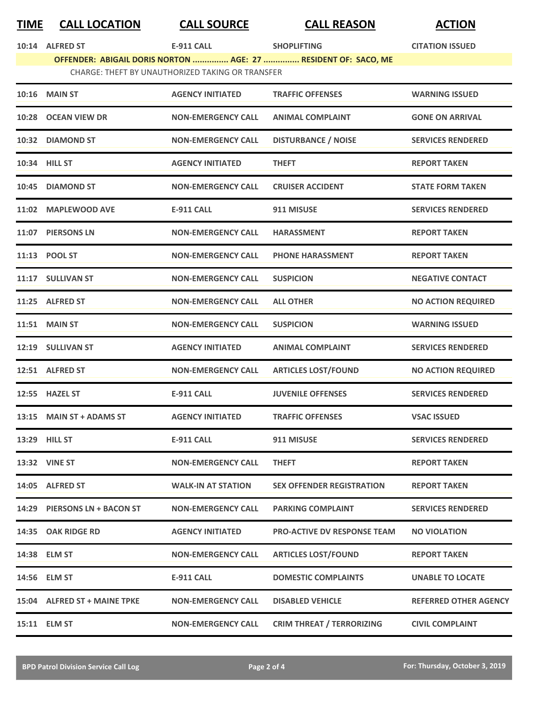## **TIME CALL LOCATION CALL SOURCE CALL REASON ACTION**

|                                                  | 10:14 ALFRED ST | E-911 CALL |  | <b>SHOPLIFTING</b>                                             | <b>CITATION ISSUED</b> |
|--------------------------------------------------|-----------------|------------|--|----------------------------------------------------------------|------------------------|
|                                                  |                 |            |  | OFFENDER: ABIGAIL DORIS NORTON  AGE: 27  RESIDENT OF: SACO, ME |                        |
| CHARGE: THEFT BY UNAUTHORIZED TAKING OR TRANSFER |                 |            |  |                                                                |                        |
|                                                  |                 |            |  |                                                                |                        |

|       | <b>10:16 MAIN ST</b>         | <b>AGENCY INITIATED</b>   | <b>TRAFFIC OFFENSES</b>            | <b>WARNING ISSUED</b>        |
|-------|------------------------------|---------------------------|------------------------------------|------------------------------|
|       | 10:28 OCEAN VIEW DR          | <b>NON-EMERGENCY CALL</b> | <b>ANIMAL COMPLAINT</b>            | <b>GONE ON ARRIVAL</b>       |
|       | 10:32 DIAMOND ST             | <b>NON-EMERGENCY CALL</b> | <b>DISTURBANCE / NOISE</b>         | <b>SERVICES RENDERED</b>     |
|       | 10:34 HILL ST                | <b>AGENCY INITIATED</b>   | <b>THEFT</b>                       | <b>REPORT TAKEN</b>          |
|       | 10:45 DIAMOND ST             | <b>NON-EMERGENCY CALL</b> | <b>CRUISER ACCIDENT</b>            | <b>STATE FORM TAKEN</b>      |
|       | 11:02 MAPLEWOOD AVE          | <b>E-911 CALL</b>         | 911 MISUSE                         | <b>SERVICES RENDERED</b>     |
|       | 11:07 PIERSONS LN            | <b>NON-EMERGENCY CALL</b> | <b>HARASSMENT</b>                  | <b>REPORT TAKEN</b>          |
|       | 11:13 POOL ST                | <b>NON-EMERGENCY CALL</b> | <b>PHONE HARASSMENT</b>            | <b>REPORT TAKEN</b>          |
|       | 11:17 SULLIVAN ST            | <b>NON-EMERGENCY CALL</b> | <b>SUSPICION</b>                   | <b>NEGATIVE CONTACT</b>      |
|       | 11:25 ALFRED ST              | <b>NON-EMERGENCY CALL</b> | <b>ALL OTHER</b>                   | <b>NO ACTION REQUIRED</b>    |
|       | <b>11:51 MAIN ST</b>         | <b>NON-EMERGENCY CALL</b> | <b>SUSPICION</b>                   | <b>WARNING ISSUED</b>        |
|       | 12:19 SULLIVAN ST            | <b>AGENCY INITIATED</b>   | <b>ANIMAL COMPLAINT</b>            | <b>SERVICES RENDERED</b>     |
|       | 12:51 ALFRED ST              | <b>NON-EMERGENCY CALL</b> | <b>ARTICLES LOST/FOUND</b>         | <b>NO ACTION REQUIRED</b>    |
|       | 12:55 HAZEL ST               | <b>E-911 CALL</b>         | <b>JUVENILE OFFENSES</b>           | <b>SERVICES RENDERED</b>     |
| 13:15 | <b>MAIN ST + ADAMS ST</b>    | <b>AGENCY INITIATED</b>   | <b>TRAFFIC OFFENSES</b>            | <b>VSAC ISSUED</b>           |
|       | 13:29 HILL ST                | <b>E-911 CALL</b>         | 911 MISUSE                         | <b>SERVICES RENDERED</b>     |
|       | 13:32 VINE ST                | <b>NON-EMERGENCY CALL</b> | <b>THEFT</b>                       | <b>REPORT TAKEN</b>          |
|       | 14:05 ALFRED ST              | <b>WALK-IN AT STATION</b> | <b>SEX OFFENDER REGISTRATION</b>   | <b>REPORT TAKEN</b>          |
|       | 14:29 PIERSONS LN + BACON ST | <b>NON-EMERGENCY CALL</b> | <b>PARKING COMPLAINT</b>           | <b>SERVICES RENDERED</b>     |
|       | 14:35 OAK RIDGE RD           | <b>AGENCY INITIATED</b>   | <b>PRO-ACTIVE DV RESPONSE TEAM</b> | <b>NO VIOLATION</b>          |
|       | 14:38 ELM ST                 | <b>NON-EMERGENCY CALL</b> | <b>ARTICLES LOST/FOUND</b>         | <b>REPORT TAKEN</b>          |
|       | 14:56 ELM ST                 | <b>E-911 CALL</b>         | <b>DOMESTIC COMPLAINTS</b>         | <b>UNABLE TO LOCATE</b>      |
|       | 15:04 ALFRED ST + MAINE TPKE | <b>NON-EMERGENCY CALL</b> | <b>DISABLED VEHICLE</b>            | <b>REFERRED OTHER AGENCY</b> |
|       | 15:11 ELM ST                 | <b>NON-EMERGENCY CALL</b> | <b>CRIM THREAT / TERRORIZING</b>   | <b>CIVIL COMPLAINT</b>       |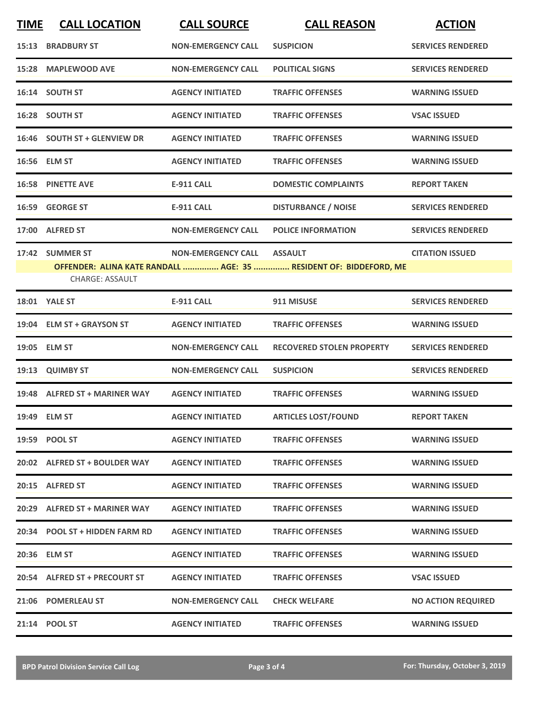| <b>TIME</b> | <b>CALL LOCATION</b>                      | <b>CALL SOURCE</b>        | <b>CALL REASON</b>                                                                  | <b>ACTION</b>             |
|-------------|-------------------------------------------|---------------------------|-------------------------------------------------------------------------------------|---------------------------|
| 15:13       | <b>BRADBURY ST</b>                        | <b>NON-EMERGENCY CALL</b> | <b>SUSPICION</b>                                                                    | <b>SERVICES RENDERED</b>  |
| 15:28       | <b>MAPLEWOOD AVE</b>                      | <b>NON-EMERGENCY CALL</b> | <b>POLITICAL SIGNS</b>                                                              | <b>SERVICES RENDERED</b>  |
| 16:14       | <b>SOUTH ST</b>                           | <b>AGENCY INITIATED</b>   | <b>TRAFFIC OFFENSES</b>                                                             | <b>WARNING ISSUED</b>     |
|             | 16:28 SOUTH ST                            | <b>AGENCY INITIATED</b>   | <b>TRAFFIC OFFENSES</b>                                                             | <b>VSAC ISSUED</b>        |
|             | 16:46 SOUTH ST + GLENVIEW DR              | <b>AGENCY INITIATED</b>   | <b>TRAFFIC OFFENSES</b>                                                             | <b>WARNING ISSUED</b>     |
|             | 16:56 ELM ST                              | <b>AGENCY INITIATED</b>   | <b>TRAFFIC OFFENSES</b>                                                             | <b>WARNING ISSUED</b>     |
|             | <b>16:58 PINETTE AVE</b>                  | <b>E-911 CALL</b>         | <b>DOMESTIC COMPLAINTS</b>                                                          | <b>REPORT TAKEN</b>       |
|             | 16:59 GEORGE ST                           | <b>E-911 CALL</b>         | <b>DISTURBANCE / NOISE</b>                                                          | <b>SERVICES RENDERED</b>  |
| 17:00       | <b>ALFRED ST</b>                          | <b>NON-EMERGENCY CALL</b> | <b>POLICE INFORMATION</b>                                                           | <b>SERVICES RENDERED</b>  |
|             | 17:42 SUMMER ST<br><b>CHARGE: ASSAULT</b> | <b>NON-EMERGENCY CALL</b> | <b>ASSAULT</b><br>OFFENDER: ALINA KATE RANDALL  AGE: 35  RESIDENT OF: BIDDEFORD, ME | <b>CITATION ISSUED</b>    |
|             | <b>18:01 YALE ST</b>                      | <b>E-911 CALL</b>         | 911 MISUSE                                                                          | <b>SERVICES RENDERED</b>  |
|             | 19:04 ELM ST + GRAYSON ST                 | <b>AGENCY INITIATED</b>   | <b>TRAFFIC OFFENSES</b>                                                             | <b>WARNING ISSUED</b>     |
| 19:05       | <b>ELM ST</b>                             | <b>NON-EMERGENCY CALL</b> | <b>RECOVERED STOLEN PROPERTY</b>                                                    | <b>SERVICES RENDERED</b>  |
|             | 19:13 QUIMBY ST                           | <b>NON-EMERGENCY CALL</b> | <b>SUSPICION</b>                                                                    | <b>SERVICES RENDERED</b>  |
|             | 19:48 ALFRED ST + MARINER WAY             | <b>AGENCY INITIATED</b>   | <b>TRAFFIC OFFENSES</b>                                                             | <b>WARNING ISSUED</b>     |
|             | 19:49 ELM ST                              | <b>AGENCY INITIATED</b>   | <b>ARTICLES LOST/FOUND</b>                                                          | <b>REPORT TAKEN</b>       |
|             | 19:59 POOL ST                             | <b>AGENCY INITIATED</b>   | <b>TRAFFIC OFFENSES</b>                                                             | <b>WARNING ISSUED</b>     |
|             | 20:02 ALFRED ST + BOULDER WAY             | <b>AGENCY INITIATED</b>   | <b>TRAFFIC OFFENSES</b>                                                             | <b>WARNING ISSUED</b>     |
|             | 20:15 ALFRED ST                           | <b>AGENCY INITIATED</b>   | <b>TRAFFIC OFFENSES</b>                                                             | <b>WARNING ISSUED</b>     |
|             | 20:29 ALFRED ST + MARINER WAY             | <b>AGENCY INITIATED</b>   | <b>TRAFFIC OFFENSES</b>                                                             | <b>WARNING ISSUED</b>     |
|             | 20:34 POOL ST + HIDDEN FARM RD            | <b>AGENCY INITIATED</b>   | <b>TRAFFIC OFFENSES</b>                                                             | <b>WARNING ISSUED</b>     |
|             | 20:36 ELM ST                              | <b>AGENCY INITIATED</b>   | <b>TRAFFIC OFFENSES</b>                                                             | <b>WARNING ISSUED</b>     |
|             | 20:54 ALFRED ST + PRECOURT ST             | <b>AGENCY INITIATED</b>   | <b>TRAFFIC OFFENSES</b>                                                             | <b>VSAC ISSUED</b>        |
|             | 21:06 POMERLEAU ST                        | <b>NON-EMERGENCY CALL</b> | <b>CHECK WELFARE</b>                                                                | <b>NO ACTION REQUIRED</b> |
|             | 21:14 POOL ST                             | <b>AGENCY INITIATED</b>   | <b>TRAFFIC OFFENSES</b>                                                             | <b>WARNING ISSUED</b>     |